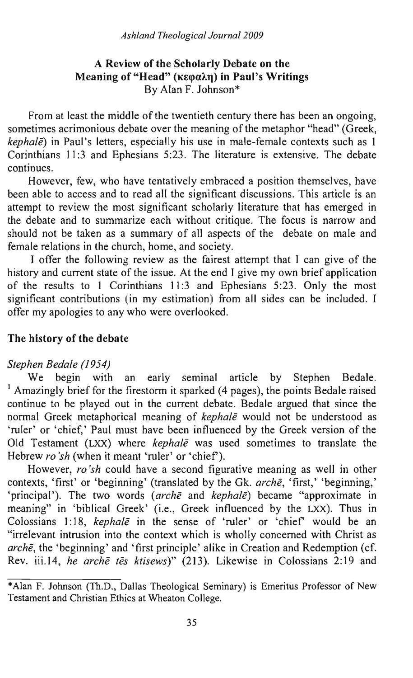## A Review of the Scholarly Debate on the Meaning of "Head" (κεφαλη) in Paul's Writings By Alan F. lohnson\*

From at least the middle of the twentieth century there has been an ongoing, sometimes acrimonious debate over the meaning of the metaphor "head" (Greek, *kephale*) in Paul's letters, especially his use in male-female contexts such as 1 Corinthians 11:3 and Ephesians 5:23. The literature is extensive. The debate continues.

However, few, who have tentatively embraced a position themselves, have been able to access and to read all the significant discussions. This article is an attempt to review the most significant scholarly literature that has emerged in the debate and to summarize each without critique. The focus is narrow and should not be taken as a summary of all aspects of the debate on male and female relations in the church, home, and society.

I offer the following review as the fairest attempt that I can give of the history and current state of the issue. At the end I give my own brief application of the results to 1 Corinthians 11:3 and Ephesians 5:23. Only the most significant contributions (in my estimation) from all sides can be included. I offer my apologies to any who were overlooked.

## The history of the debate

### *Stephen Bedale (1954)*

We begin with an early seminal article by Stephen Bedale. <sup>1</sup> Amazingly brief for the firestorm it sparked (4 pages), the points Bedale raised continue to be played out in the current debate. Bedale argued that since the normal Greek metaphorical meaning of *kephale* would not be understood as 'ruler' or 'chief,' Paul must have been influenced by the Greek version of the Old Testament (LXX) where *kephale* was used sometimes to translate the Hebrew *ro'sh* (when it meant 'ruler' or 'chief').

However, *ro'sh* could have a second figurative meaning as well in other contexts, 'first' or 'beginning' (translated by the Gk. *arche,* 'first,' 'beginning,' 'principal'). The two words *(arche and kephale)* became "approximate in meaning" in 'biblical Greek' (i.e., Greek influenced by the LXX). Thus in Colossians 1: 18, *kephate* in the sense of 'ruler' or 'chief would be an "irrelevant intrusion into the context which is wholly concerned with Christ as *arche,* the 'beginning' and 'first principle' alike in Creation and Redemption (cf. Rev. iii.14, *he arche tes ktisews)"* (213). Likewise in Colossians 2:19 and

<sup>\*</sup>Alan F. Johnson (Th.D., Dallas Theological Seminary) is Emeritus Professor of New Testament and Christian Ethics at Wheaton College.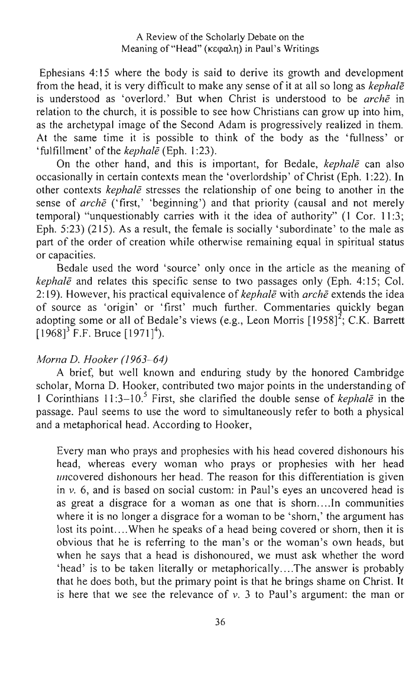Ephesians 4: 15 where the body is said to derive its growth and development from the head, it is very difficult to make any sense of it at all so long as *kephale*  is understood as 'overlord.' But when Christ is understood to be *arehe* in relation to the church, it is possible to see how Christians can grow up into him, as the archetypal image of the Second Adam is progressively realized in them. At the same time it is possible to think of the body as the 'fullness' or 'fulfillment' of the *kephale* (Eph. 1 :23).

On the other hand, and this is important, for Bedale, *kephale* can also occasionally in certain contexts mean the 'overlordship' of Christ (Eph. 1 :22). In other contexts *kephale* stresses the relationship of one being to another in the sense of *arche* ('first,' 'beginning') and that priority (causal and not merely temporal) "unquestionably carries with it the idea of authority" (1 Cor. 11:3; Eph. 5:23) (215). As a result, the female is socially 'subordinate' to the male as part of the order of creation while otherwise remaining equal in spiritual status or capacities.

Bedale used the word 'source' only once in the article as the meaning of *kephale* and relates this specific sense to two passages only (Eph. 4:15; Col. 2: 19). However, his practical equivalence of *kephale* with *arehe* extends the idea of source as 'origin' or 'first' much further. Commentaries quickly began adopting some or all of Bedale's views (e.g., Leon Morris  $[1958]^{2}$ ; C.K. Barrett  $[1968]$ <sup>3</sup> F.F. Bruce  $[1971]$ <sup>4</sup>).

#### *Morna D. Hooker (1963-64)*

A brief, but well known and enduring study by the honored Cambridge scholar, Morna D. Hooker, contributed two major points in the understanding of 1 Corinthians 11 :3-10.5 First, she clarified the double sense of *kephale* in the passage. Paul seems to use the word to simultaneously refer to both a physical and a metaphorical head. According to Hooker,

Every man who prays and prophesies with his head covered dishonours his head, whereas every woman who prays or prophesies with her head uncovered dishonours her head. The reason for this differentiation is given in *v.* 6, and is based on social custom: in Paul's eyes an uncovered head is as great a disgrace for a woman as one that is shorn....In communities where it is no longer a disgrace for a woman to be 'shorn,' the argument has lost its point....When he speaks of a head being covered or shorn, then it is obvious that he is referring to the man's or the woman's own heads, but when he says that a head is dishonoured, we must ask whether the word 'head' is to be taken literally or metaphorically .... The answer is probably that he does both, but the primary point is that he brings shame on Christ. It is here that we see the relevance of *v.* 3 to Paul's argument: the man or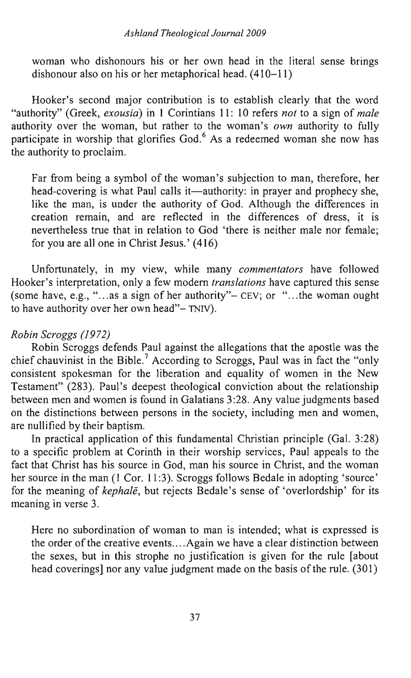woman who dishonours his or her own head in the literal sense brings dishonour also on his or her metaphorical head. (410-11)

Hooker's second major contribution is to establish clearly that the word "authority" (Greek, *exousia)* in 1 Corintians 11: 10 refers *not* to a sign of *male*  authority over the woman, but rather to the woman's *own* authority to fully participate in worship that glorifies God.<sup>6</sup> As a redeemed woman she now has the authority to proclaim.

Far from being a symbol of the woman's subjection to man, therefore, her head-covering is what Paul calls it—authority: in prayer and prophecy she, like the man, is under the authority of God. Although the differences in creation remain, and are reflected in the differences of dress, it is nevertheless true that in relation to God 'there is neither male nor female; for you are all one in Christ Jesus.' (416)

Unfortunately, in my view, while many *commentators* have followed Hooker's interpretation, only a few modem *translations* have captured this sense (some have, e.g., " $\ldots$  as a sign of her authority"- CEV; or " $\ldots$  the woman ought to have authority over her own head"- TNIV).

## *Robin Scroggs (1972)*

Robin Scroggs defends Paul against the allegations that the apostle was the chief chauvinist in the Bible.<sup>7</sup> According to Scroggs, Paul was in fact the "only" consistent spokesman for the liberation and equality of women in the New Testament" (283). Paul's deepest theological conviction about the relationship between men and women is found in Galatians 3 :28. Any value judgments based on the distinctions between persons in the society, including men and women, are nullified by their baptism.

In practical application of this fundamental Christian principle (Gal. 3:28) to a specific problem at Corinth in their worship services, Paul appeals to the fact that Christ has his source in God, man his source in Christ, and the woman her source in the man (1 Cor. 11:3). Scroggs follows Bedale in adopting 'source' for the meaning of *kephale,* but rejects Bedale's sense of 'overlordship' for its meaning in verse 3.

Here no subordination of woman to man is intended; what is expressed is the order of the creative events....Again we have a clear distinction between the sexes, but in this strophe no justification is given for the rule [about head coverings] nor any value judgment made on the basis of the rule. (301)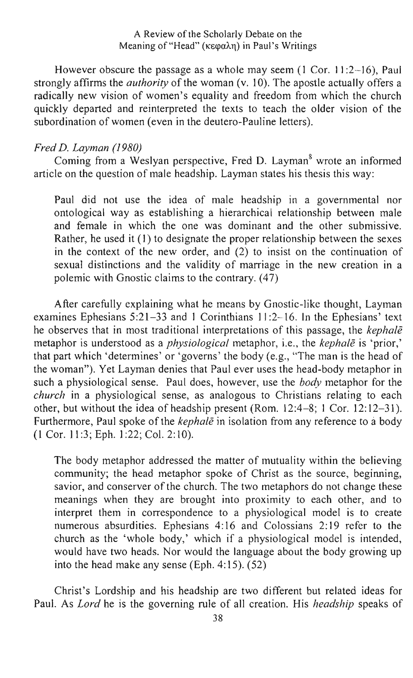A Review of the Scholarly Debate on the Meaning of "Head" ( $\kappa \in \alpha \lambda$ <sub>n</sub>) in Paul's Writings

However obscure the passage as a whole may seem  $(1 \text{ Cor. } 11:2-16)$ , Paul strongly affirms the *authority* of the woman (v. 10). The apostle actually offers a radically new vision of women's equality and freedom from which the church quickly departed and reinterpreted the texts to teach the older vision of the subordination of women (even in the deutero-Pauline letters).

## *Fred D. Layman (1980)*

Coming from a Weslyan perspective, Fred D. Layman<sup>8</sup> wrote an informed article on the question of male headship. Layman states his thesis this way:

Paul did not use the idea of male headship in a governmental nor ontological way as establishing a hierarchical relationship between male and female in which the one was dominant and the other submissive. Rather, he used it (1) to designate the proper relationship between the sexes in the context of the new order, and (2) to insist on the continuation of sexual distinctions and the validity of marriage in the new creation in a polemic with Gnostic claims to the contrary. (47)

After carefully explaining what he means by Gnostic-like thought, Layman examines Ephesians 5:21-33 and 1 Corinthians 11 :2-16. In the Ephesians' text he observes that in most traditional interpretations of this passage, the *kephale*  metaphor is understood as a *physiological* metaphor, i.e., the *kephale* is 'prior,' that part which 'determines' or 'governs' the body (e.g., "The man is the head of the woman"). Yet Layman denies that Paul ever uses the head-body metaphor in such a physiological sense. Paul does, however, use the *body* metaphor for the *church* in a physiological sense, as analogous to Christians relating to each other, but without the idea of headship present (Rom. 12:4-8; 1 Cor. 12:12-31). Furthermore, Paul spoke of the *kephale* in isolation from any reference to a body (1 Cor. 11 :3; Eph. 1 :22; Col. 2: 10).

The body metaphor addressed the matter of mutuality within the believing community; the head metaphor spoke of Christ as the source, beginning, savior, and conserver of the church. The two metaphors do not change these meanings when they are brought into proximity to each other, and to interpret them in correspondence to a physiological model is to create numerous absurdities. Ephesians 4: 16 and Colossians 2: 19 refer to the church as the 'whole body,' which if a physiological model is intended, would have two heads. Nor would the language about the body growing up into the head make any sense (Eph. 4:15).  $(52)$ 

Christ's Lordship and his headship are two different but related ideas for Paul. As *Lord* he is the governing rule of all creation. His *headship* speaks of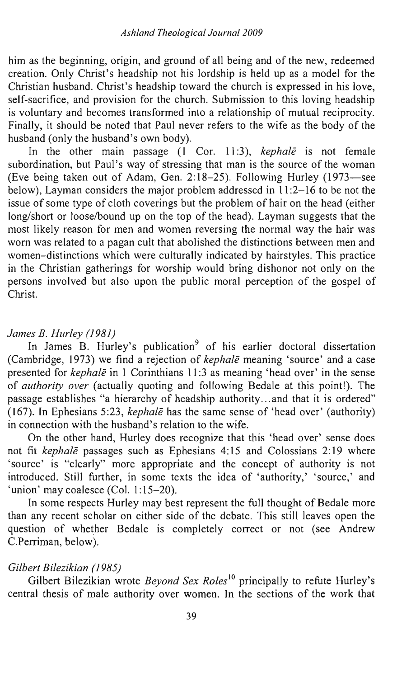him as the beginning, origin, and ground of all being and of the new, redeemed creation. Only Christ's headship not his lordship is held up as a model for the Christian husband. Christ's headship toward the church is expressed in his love, self-sacrifice, and provision for the church. Submission to this loving headship is voluntary and becomes transformed into a relationship of mutual reciprocity. Finally, it should be noted that Paul never refers to the wife as the body of the husband (only the husband's own body).

In the other main passage (1 Cor. 11 :3), *kephale* is not female subordination, but Paul's way of stressing that man is the source of the woman (Eve being taken out of Adam, Gen. 2:18-25). Following Hurley (1973-see below), Layman considers the major problem addressed in  $11:2-16$  to be not the issue of some type of cloth coverings but the problem of hair on the head (either long/short or loose/bound up on the top of the head). Layman suggests that the most likely reason for men and women reversing the normal way the hair was worn was related to a pagan cult that abolished the distinctions between men and women-distinctions which were culturally indicated by hairstyles. This practice in the Christian gatherings for worship would bring dishonor not only on the persons involved but also upon the public moral perception of the gospel of Christ.

### *James B. Hurley (1981)*

In James B. Hurley's publication<sup>9</sup> of his earlier doctoral dissertation (Cambridge, 1973) we find a rejection of *kephale* meaning 'source' and a case presented for *kephale* in 1 Corinthians 11:3 as meaning 'head over' in the sense of *authority over* (actually quoting and following Bedale at this point!). The passage establishes "a hierarchy of headship authority ... and that it is ordered" (167). In Ephesians 5:23, *kephale* has the same sense of 'head over' (authority) in connection with the husband's relation to the wife.

On the other hand, Hurley does recognize that this 'head over' sense does not fit *kephale* passages such as Ephesians 4: 15 and Colossians 2: 19 where 'source' is "clearly" more appropriate and the concept of authority is not introduced. Still further, in some texts the idea of 'authority,' 'source,' and 'union' may coalesce (Col. 1:15-20).

In some respects Hurley may best represent the full thought of Bedale more than any recent scholar on either side of the debate. This still leaves open the question of whether Bedale is completely correct or not (see Andrew C.Perriman, below).

#### *Gilbert Bilezikian (1985)*

Gilbert Bilezikian wrote *Beyond Sex Roles*<sup>10</sup> principally to refute Hurley's central thesis of male authority over women. In the sections of the work that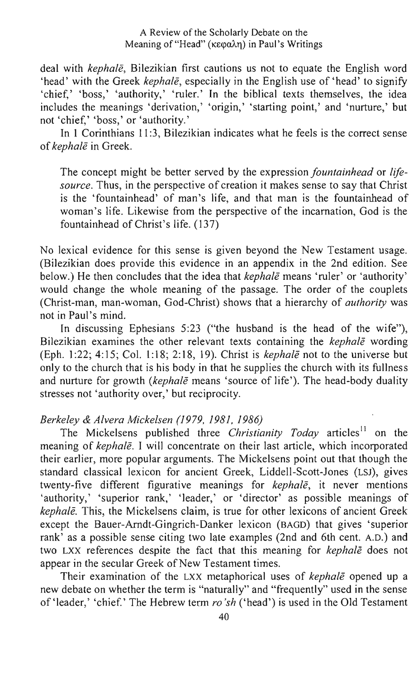deal with *kephale,* Bilezikian first cautions us not to equate the English word 'head' with the Greek *kephale,* especially in the English use of 'head' to signify 'chief,' 'boss,' 'authority,' 'ruler.' In the biblical texts themselves, the idea includes the meanings 'derivation,' 'origin,' 'starting point,' and 'nurture,' but not 'chief,' 'boss,' or 'authority.'

In 1 Corinthians 11:3, Bilezikian indicates what he feels is the correct sense of *kephale* in Greek.

The concept might be better served by the expression *fountainhead* or *lifesource.* Thus, in the perspective of creation it makes sense to say that Christ is the 'fountainhead' of man's life, and that man is the fountainhead of woman's life. Likewise from the perspective of the incarnation, God is the fountainhead of Christ's life. (137)

No lexical evidence for this sense is given beyond the New Testament usage. (Bilezikian does provide this evidence in an appendix in the 2nd edition. See below.) He then concludes that the idea that *kephale* means 'ruler' or 'authority' would change the whole meaning of the passage. The order of the couplets (Christ-man, man-woman, God-Christ) shows that a hierarchy of *authority* was not in Paul's mind.

In discussing Ephesians 5:23 ("the husband is the head of the wife"), Bilezikian examines the other relevant texts containing the *kephale* wording (Eph. 1:22; 4:15; Col. 1:18; 2:18, 19). Christ is *kephale* not to the universe but only to the church that is his body in that he supplies the church with its fullness and nurture for growth *(kephale* means 'source of life'). The head-body duality stresses not 'authority over,' but reciprocity.

### *Berkeley* & *Alvera Mickelsen* (1979,1981,1986)

The Mickelsens published three *Christianity Today* articles<sup>11</sup> on the meaning of *kephale.* I will concentrate on their last article, which incorporated their earlier, more popular arguments. The Mickelsens point out that though the standard classical lexicon for ancient Greek, Liddell-Scott-Jones (LSJ), gives twenty-five different figurative meanings for *kephale,* it never mentions 'authority,' 'superior rank,' 'leader,' or 'director' as possible meanings of *kephale.* This, the Mickelsens claim, is true for other lexicons of ancient Greek except the Bauer-Arndt-Gingrich-Danker lexicon (BAGD) that gives 'superior rank' as a possible sense citing two late examples (2nd and 6th cent. A.D.) and two LXX references despite the fact that this meaning for *kephale* does not appear in the secular Greek of New Testament times.

Their examination of the LXX metaphorical uses of *kephale* opened up a new debate on whether the term is "naturally" and "frequently" used in the sense of 'leader,' 'chief.' The Hebrew term *ro'sh* ('head') is used in the Old Testament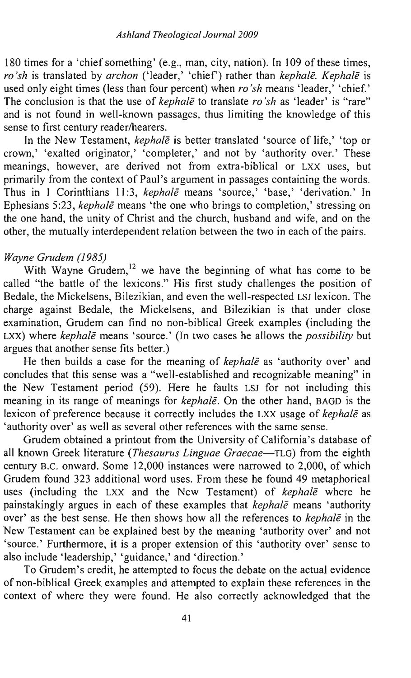180 times for a 'chief something' (e.g., man, city, nation). In 109 of these times, *ro'sh* is translated by *archon* ('leader,' 'chief) rather than *kephale. Kephale* is used only eight times (less than four percent) when *ro'sh* means 'leader,' 'chief.' The conclusion is that the use of *kephale* to translate *ro'sh* as 'leader' is "rare" and is not found in well-known passages, thus limiting the knowledge of this sense to first century reader/hearers.

In the New Testament, *kephale* is better translated 'source of life,' 'top or crown,' 'exalted originator,' 'completer,' and not by 'authority over.' These meanings, however, are derived not from extra-biblical or LXX uses, but primarily from the context of Paul's argument in passages containing the words. Thus in 1 Corinthians 11:3, *kephale* means 'source,' 'base,' 'derivation.' In Ephesians 5:23, *kephale* means 'the one who brings to completion,' stressing on the one hand, the unity of Christ and the church, husband and wife, and on the other, the mutually interdependent relation between the two in each of the pairs.

## *Wayne Grudem (1985)*

With Wayne Grudem,<sup>12</sup> we have the beginning of what has come to be called "the battle of the lexicons." His first study challenges the position of Bedale, the Mickelsens, Bilezikian, and even the well-respected LSJ lexicon. The charge against Bedale, the Mickelsens, and Bilezikian is that under close examination, Grudem can find no non-biblical Greek examples (including the LXX) where *kephale* means 'source.' (In two cases he allows the *possibility* but argues that another sense fits better.)

He then builds a case for the meaning of *kephale* as 'authority over' and concludes that this sense was a "well-established and recognizable meaning" in the New Testament period (59). Here he faults LSJ for not including this meaning in its range of meanings for *kephale.* On the other hand, BAGD is the lexicon of preference because it correctly includes the LXX usage of *kephale* as 'authority over' as well as several other references with the same sense.

Grudem obtained a printout from the University of California's database of all known Greek literature *(Thesaurus Linguae Graecae-TLG)* from the eighth century B.C. onward. Some 12,000 instances were narrowed to 2,000, of which Grudem found 323 additional word uses. From these he found 49 metaphorical uses (including the LXX and the New Testament) of *kephale* where he painstakingly argues in each of these examples that *kephale* means 'authority over' as the best sense. He then shows how all the references to *kephale* in the New Testament can be explained best by the meaning 'authority over' and not 'source.' Furthermore, it is a proper extension of this 'authority over' sense to also include' leadership,' 'guidance,' and 'direction.'

To Grudem's credit, he attempted to focus the debate on the actual evidence of non-biblical Greek examples and attempted to explain these references in the context of where they were found. He also correctly acknowledged that the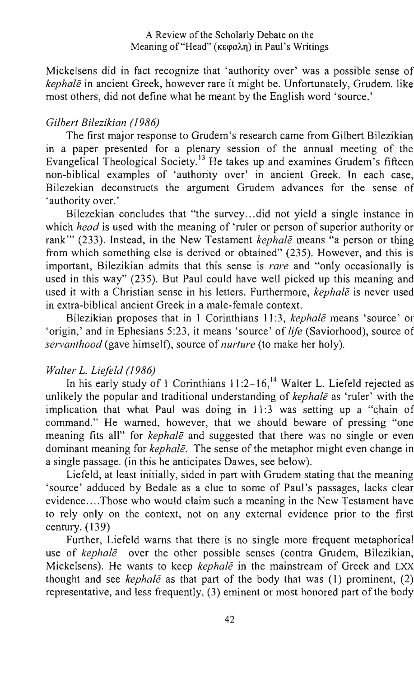Mickelsens did in fact recognize that 'authority over' was a possible sense of *kephale* in ancient Greek, however rare it might be. Unfortunately, Grudem. like most others, did not define what he meant by the English word 'source.'

# *Gilbert Bilezikian (1986)*

The first major response to Grudem's research came from Gilbert Bilezikian in a paper presented for a plenary session of the annual meeting of the Evangelical Theological Society.<sup>13</sup> He takes up and examines Grudem's fifteen non-biblical examples of 'authority over' in ancient Greek. In each case, Bilezekian deconstructs the argument Grudem advances for the sense of 'authority over.'

Bilezekian concludes that "the survey ... did not yield a single instance in which *head* is used with the meaning of 'ruler or person of superior authority or rank'" (233). Instead, in the New Testament *kephale* means "a person or thing from which something else is derived or obtained" (235). However, and this is important, Bilezikian admits that this sense is *rare* and "only occasionally is used in this way" (235). But Paul could have well picked up this meaning and used it with a Christian sense in his letters. Furthermore, *kephale* is never used in extra-biblical ancient Greek in a male-female context.

Bilezikian proposes that in I Corinthians II :3, *kephale* means 'source' or 'origin,' and in Ephesians 5:23, it means 'source' of *life* (Saviorhood), source of *servant/wod* (gave himself), source of *nurture* (to make her holy).

## *Walter* L. *Liefeld (1986)*

In his early study of 1 Corinthians  $11:2-16$ ,<sup>14</sup> Walter L. Liefeld rejected as unlikely the popular and traditional understanding of *kephale* as 'ruler' with the implication that what Paul was doing in  $11:3$  was setting up a "chain of command." He warned, however, that we should beware of pressing "one meaning fits all" for *kephale* and suggested that there was no single or even dominant meaning for *kephale.* The sense of the metaphor might even change in a single passage. (in this he anticipates Dawes, see below).

Liefeld, at least initially, sided in part with Grudem stating that the meaning 'source' adduced by Bedale as a clue to some of Paul's passages, lacks clear evidence .... Those who would claim such a meaning in the New Testament have to rely only on the context, not on any external evidence prior to the first century. (139)

Further, Liefeld warns that there is no single more frequent metaphorical use of *kephale* over the other possible senses (contra Grudem, Bilezikian, Mickelsens). He wants to keep *kephale* in the mainstream of Greek and LXX thought and see *kephale* as that part of the body that was (1) prominent, (2) representative, and less frequently, (3) eminent or most honored part of the body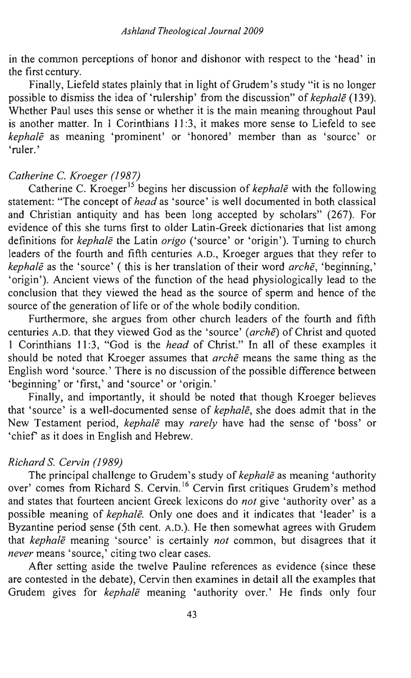in the common perceptions of honor and dishonor with respect to the 'head' in the first century.

Finally, Liefeld states plainly that in light of Grudem's study "it is no longer possible to dismiss the idea of 'rulership' from the discussion" of *kephale (139).*  Whether Paul uses this sense or whether it is the main meaning throughout Paul is another matter. In 1 Corinthians 11 :3, it makes more sense to Liefeld to see *kephale* as meaning 'prominent' or 'honored' member than as 'source' or 'ruler.'

### *Catherine* C. *Kroeger* (1987)

Catherine C. Kroeger 15 begins her discussion of *kephale* with the following statement: "The concept of *head* as 'source' is well documented in both classical and Christian antiquity and has been long accepted by scholars" (267). For evidence of this she turns first to older Latin-Greek dictionaries that list among definitions for *kephale* the Latin *origo* ('source' or 'origin'). Turning to church leaders of the fourth and fifth centuries A.D., Kroeger argues that they refer to *kephale* as the 'source' ( this is her translation of their word *arche,* 'beginning,' 'origin'). Ancient views of the function of the head physiologically lead to the conclusion that they viewed the head as the source of sperm and hence of the source of the generation of life or of the whole bodily condition.

Furthermore, she argues from other church leaders of the fourth and fifth centuries A.D. that they viewed God as the 'source' *(arche)* of Christ and quoted 1 Corinthians 11 :3, "God is the *head* of Christ." In all of these examples it should be noted that Kroeger assumes that *arche* means the same thing as the English word 'source.' There is no discussion of the possible difference between 'beginning' or 'first,' and 'source' or 'origin.'

Finally, and importantly, it should be noted that though Kroeger believes that 'source' is a well-documented sense of *kephale,* she does admit that in the New Testament period, *kephale* may *rarely* have had the sense of 'boss' or 'chief as it does in English and Hebrew.

### *Richard* S. *Cervin (1989)*

The principal challenge to Grudem's study of *kephale* as meaning 'authority over' comes from Richard S. Cervin. 16 Cervin first critiques Grudem's method and states that fourteen ancient Greek lexicons do *not* give 'authority over' as a possible meaning of *kephale.* Only one does and it indicates that 'leader' is a Byzantine period sense (5th cent. A.D.). He then somewhat agrees with Grudem that *kephale* meaning 'source' is certainly *not* common, but disagrees that it *never* means 'source,' citing two clear cases.

After setting aside the twelve Pauline references as evidence (since these are contested in the debate), Cervin then examines in detail all the examples that Grudem gives for *kephale* meaning 'authority over.' He finds only four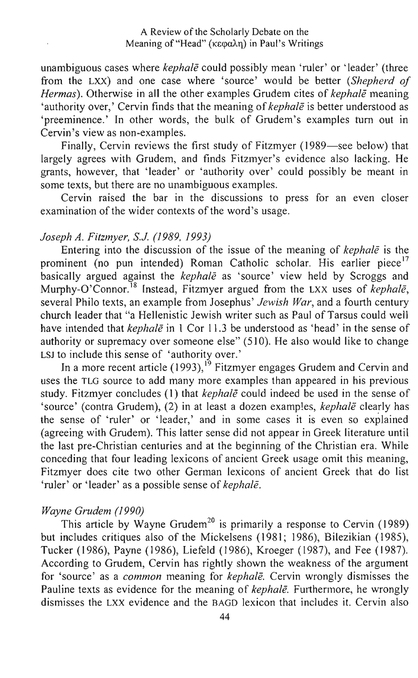unambiguous cases where *kephale* could possibly mean 'ruler' or 'leader' (three from the LXX) and one case where 'source' would be better *(Shepherd of Hermas).* Otherwise in all the other examples Grudem cites of *kephale* meaning 'authority over,' Cervin finds that the meaning of *kephale* is better understood as 'preeminence.' In other words, the bulk of Grudem's examples tum out in Cervin's view as non-examples.

Finally, Cervin reviews the first study of Fitzmyer (1989-see below) that largely agrees with Grudem, and finds Fitzmyer's evidence also lacking. He grants, however, that 'leader' or 'authority over' could possibly be meant in some texts, but there are no unambiguous examples.

Cervin raised the bar in the discussions to press for an even closer examination of the wider contexts of the word's usage.

### *Joseph A. Fitzmyer,* S.J. (1989, 1993)

Entering into the discussion of the issue of the meaning of *kephale* is the prominent (no pun intended) Roman Catholic scholar. His earlier piece<sup>17</sup> basically argued against the *kephale* as 'source' view held by Scroggs and Murphy-O'Connor.<sup>18</sup> Instead, Fitzmyer argued from the LXX uses of *kephale*, several Philo texts, an example from Josephus' *Jewish War,* and a fourth century church leader that "a Hellenistic Jewish writer such as Paul of Tarsus could well have intended that *kephale* in 1 Cor 1l.3 be understood as 'head' in the sense of authority or supremacy over someone else" (510). He also would like to change LSJ to include this sense of 'authority over.'

In a more recent article (1993),<sup>19</sup> Fitzmyer engages Grudem and Cervin and uses the TLG source to add many more examples than appeared in his previous study. Fitzmyer concludes (1) that *kephale* could indeed be used in the sense of 'source' (contra Grudem), (2) in at least a dozen examples, *kephale* clearly has the sense of 'ruler' or 'leader,' and in some cases it is even so explained (agreeing with Grudem). This latter sense did not appear in Greek literature until the last pre-Christian centuries and at the beginning of the Christian era. While conceding that four leading lexicons of ancient Greek usage omit this meaning, Fitzmyer does cite two other German lexicons of ancient Greek that do list 'ruler' or 'leader' as a possible sense of *kephale.* 

### *Wayne Grudem (1990)*

This article by Wayne Grudem<sup>20</sup> is primarily a response to Cervin (1989) but includes critiques also of the Mickelsens (1981; 1986), Bilezikian (1985), Tucker (1986), Payne (1986), Liefeld (1986), Kroeger (1987), and Fee (1987). According to Grudem, Cervin has rightly shown the weakness of the argument for 'source' as a *common* meaning for *kephale.* Cervin wrongly dismisses the Pauline texts as evidence for the meaning of *kephale.* Furthermore, he wrongly dismisses the LXX evidence and the BAGD lexicon that includes it. Cervin also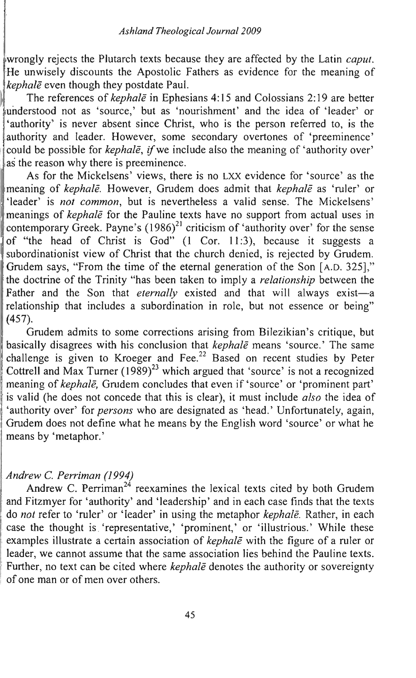iwrongly rejects the Plutarch texts because they are affected by the Latin *caput.*  He unwisely discounts the Apostolic Fathers as evidence for the meaning of *kephale* even though they postdate Paul.

The references of *kephale* in Ephesians 4: 15 and Colossians 2: 19 are better understood not as 'source,' but as 'nourishment' and the idea of 'leader' or 'authority' is never absent since Christ, who is the person referred to, is the authority and leader. However, some secondary overtones of 'preeminence' could be possible for *kephale*, if we include also the meaning of 'authority over' as the reason why there is preeminence.

As for the Mickelsens' views, there is no LXX evidence for 'source' as the imeaning of *kephale.* However, Grudem does admit that *kephale* as 'ruler' or 'leader' is *not common,* but is nevertheless a valid sense. The Mickelsens' meanings of *kephalē* for the Pauline texts have no support from actual uses in contemporary Greek. Payne's  $(1986)^{21}$  criticism of 'authority over' for the sense of "the head of Christ is God" (1 Cor. 11:3), because it suggests a subordinationist view of Christ that the church denied, is rejected by Grudem. Grudem says, "From the time of the eternal generation of the Son [A.D. 325]," the doctrine of the Trinity "has been taken to imply a *relationship* between the Father and the Son that *eternally* existed and that will always exist-a relationship that includes a subordination in role, but not essence or being" (457).

Grudem admits to some corrections arising from Bilezikian's critique, but basically disagrees with his conclusion that *kephale* means 'source.' The same challenge is given to Kroeger and Fee.<sup>22</sup> Based on recent studies by Peter Cottrell and Max Turner  $(1989)^{23}$  which argued that 'source' is not a recognized 'meaning of *kephale,* Grudem concludes that even if 'source' or 'prominent part' is valid (he does not concede that this is clear), it must include *also* the idea of 'authority over' for *persons* who are designated as 'head.' Unfortunately, again, Grudem does not define what he means by the English word 'source' or what he means by 'metaphor.'

# : *Andrew* C. *Perriman (1994)*

Andrew C. Perriman<sup>24</sup> reexamines the lexical texts cited by both Grudem and Fitzmyer for 'authority' and 'leadership' and in each case finds that the texts . do *not* refer to 'ruler' or 'leader' in using the metaphor *kephale.* Rather, in each case the thought is 'representative,' 'prominent,' or 'illustrious.' While these : examples illustrate a certain association of *kephale* with the figure of a ruler or leader, we cannot assume that the same association lies behind the Pauline texts. Further, no text can be cited where *kephale* denotes the authority or sovereignty of one man or of men over others.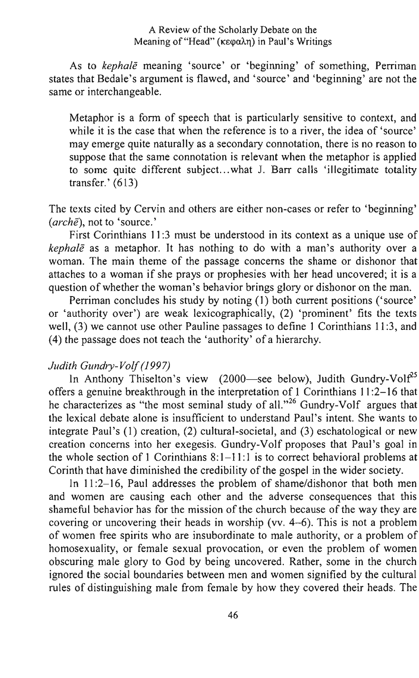#### A Review of the Scholarly Debate on the Meaning of "Head" ( $\kappa \in \alpha \lambda$ n) in Paul's Writings

As to *kephale* meaning 'source' or 'beginning' of something, Perriman states that Bedale's argument is flawed, and 'source' and 'beginning' are not the same or interchangeable.

Metaphor is a form of speech that is particularly sensitive to context, and while it is the case that when the reference is to a river, the idea of 'source' may emerge quite naturally as a secondary connotation, there is no reason to suppose that the same connotation is relevant when the metaphor is applied to some quite different subject. .. what J. Barr calls 'illegitimate totality transfer.' (613)

The texts cited by Cervin and others are either non-cases or refer to 'beginning' *(arche),* not to 'source.'

First Corinthians 11:3 must be understood in its context as a unique use of *kephale* as a metaphor. It has nothing to do with a man's authority over a woman. The main theme of the passage concerns the shame or dishonor that attaches to a woman if she prays or prophesies with her head uncovered; it is a question of whether the woman's behavior brings glory or dishonor on the man.

Perriman concludes his study by noting (1) both current positions ('source' or 'authority over') are weak lexicographically, (2) 'prominent' fits the texts well, (3) we cannot use other Pauline passages to define 1 Corinthians 11 :3, and  $(4)$  the passage does not teach the 'authority' of a hierarchy.

## Judith Gundry-Volf (1997)

In Anthony Thiselton's view (2000-see below), Judith Gundry-Vol $f^{25}$ offers a genuine breakthrough in the interpretation of 1 Corinthians 11 :2-16 that he characterizes as "the most seminal study of all."<sup>26</sup> Gundry-Volf argues that the lexical debate alone is insufficient to understand Paul's intent. She wants to integrate Paul's (1) creation, (2) cultural-societal, and (3) eschatological or new creation concerns into her exegesis. Gundry-Volf proposes that Paul's goal in the whole section of 1 Corinthians  $8:1-11:1$  is to correct behavioral problems at Corinth that have diminished the credibility of the gospel in the wider society.

In 11:2-16, Paul addresses the problem of shame/dishonor that both men and women are causing each other and the adverse consequences that this shameful behavior has for the mission of the church because of the way they are covering or uncovering their heads in worship (vv. 4-6). This is not a problem of women free spirits who are insubordinate to male authority, or a problem of homosexuality, or female sexual provocation, or even the problem of women obscuring male glory to God by being uncovered. Rather, some in the church ignored the social boundaries between men and women signified by the cultural rules of distinguishing male from female by how they covered their heads. The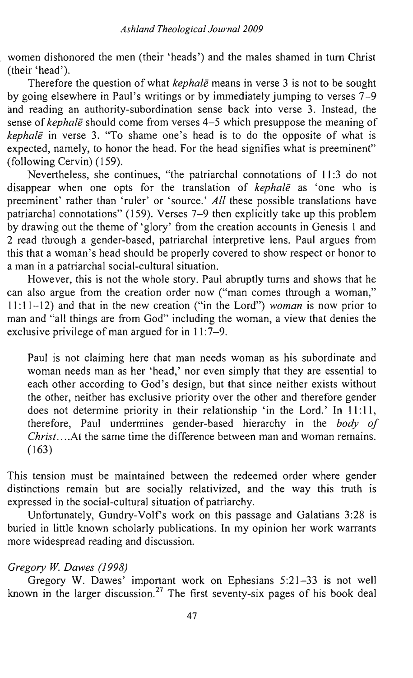women dishonored the men (their 'heads') and the males shamed in turn Christ (their 'head').

Therefore the question of what *kephale* means in verse 3 is not to be sought by going elsewhere in Paul's writings or by immediately jumping to verses 7-9 and reading an authority-subordination sense back into verse 3. Instead, the sense of *kephale* should come from verses 4-5 which presuppose the meaning of *kephale* in verse 3. "To shame one's head is to do the opposite of what is expected, namely, to honor the head. For the head signifies what is preeminent" (following Cervin) (159).

Nevertheless, she continues, "the patriarchal connotations of 11:3 do not disappear when one opts for the translation of *kephale* as 'one who is preeminent' rather than 'ruler' or 'source.' All these possible translations have patriarchal connotations" (159). Verses 7-9 then explicitly take up this problem by drawing out the theme of 'glory' from the creation accounts in Genesis 1 and 2 read through a gender-based, patriarchal interpretive lens. Paul argues from this that a woman's head should be properly covered to show respect or honor to a man in a patriarchal social-cultural situation.

However, this is not the whole story. Paul abruptly turns and shows that he can also argue from the creation order now ("man comes through a woman," 11: 11-12) and that in the new creation ("in the Lord") *woman* is now prior to man and "all things are from God" including the woman, a view that denies the exclusive privilege of man argued for in 11:7-9.

Paul is not claiming here that man needs woman as his subordinate and woman needs man as her 'head,' nor even simply that they are essential to each other according to God's design, but that since neither exists without the other, neither has exclusive priority over the other and therefore gender does not determine priority in their relationship 'in the Lord.' In 11:11, therefore, Paul undermines gender-based hierarchy in the *body of Christ .*... At the same time the difference between man and woman remains. (163)

This tension must be maintained between the redeemed order where gender distinctions remain but are socially relativized, and the way this truth is expressed in the social-cultural situation of patriarchy.

Unfortunately, Gundry-Volfs work on this passage and Galatians 3:28 is buried in little known scholarly publications. In my opinion her work warrants more widespread reading and discussion.

### *Gregory* W. *Dawes* (1998)

Gregory W. Dawes' important work on Ephesians 5:21-33 is not well known in the larger discussion.<sup>27</sup> The first seventy-six pages of his book deal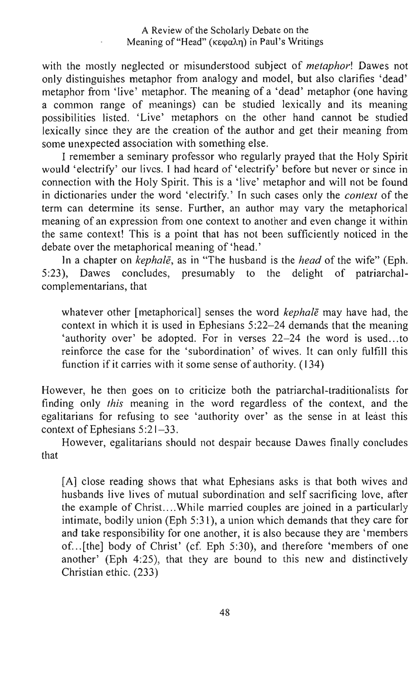#### A Review of the Scholarly Debate on the Meaning of "Head" (κεφαλη) in Paul's Writings

with the mostly neglected or misunderstood subject of *metaphor!* Dawes not only distinguishes metaphor from analogy and model, but also clarifies 'dead' metaphor from 'live' metaphor. The meaning of a 'dead' metaphor (one having a common range of meanings) can be studied lexically and its meaning possibilities listed. 'Live' metaphors on the other hand cannot be studied lexically since they are the creation of the author and get their meaning from some unexpected association with something else.

I remember a seminary professor who regularly prayed that the Holy Spirit would 'electrify' our lives. I had heard of 'electrify' before but never or since in connection with the Holy Spirit. This is a 'live' metaphor and will not be found in dictionaries under the word 'electrify.' In such cases only the *context* of the term can determine its sense. Further, an author may vary the metaphorical meaning of an expression from one context to another and even change it within the same context! This is a point that has not been sufficiently noticed in the debate over the metaphorical meaning of 'head.'

In a chapter on *kephale*, as in "The husband is the *head* of the wife" (Eph.<br>). Dawes concludes, presumably to the delight of patriarchal-5:23), Dawes concludes, presumably to the delight of patriarchalcomplementarians, that

whatever other [metaphorical] senses the word *kephale* may have had, the context in which it is used in Ephesians 5:22-24 demands that the meaning 'authority over' be adopted. For in verses  $22-24$  the word is used...to reinforce the case for the 'subordination' of wives. It can only fulfill this function if it carries with it some sense of authority. (134)

However, he then goes on to criticize both the patriarchal-traditionalists for finding only *this* meaning in the word regardless of the context, and the egalitarians for refusing to see 'authority over' as the sense in at least this context of Ephesians 5:21-33.

However, egalitarians should not despair because Dawes finally concludes that

[A] close reading shows that what Ephesians asks is that both wives and husbands live lives of mutual subordination and self sacrificing love, after the example of Christ....While married couples are joined in a particularly intimate, bodily union (Eph 5:31), a union which demands that they care for and take responsibility for one another, it is also because they are 'members of ... [the] body of Christ' (cf. Eph 5:30), and therefore 'members of one another' (Eph 4:25), that they are bound to this new and distinctively Christian ethic. (233)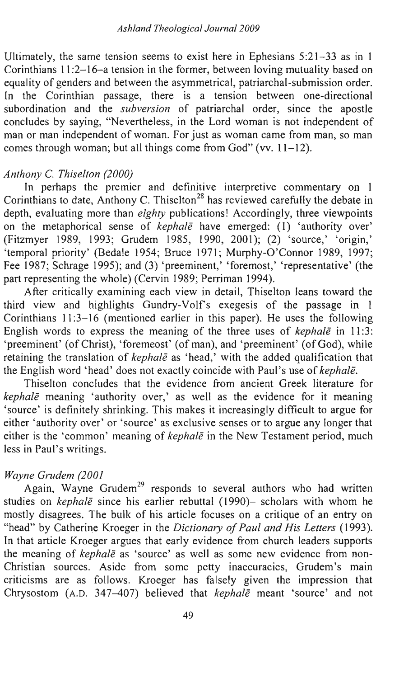Ultimately, the same tension seems to exist here in Ephesians  $5:21-33$  as in 1 Corinthians 11:2-16-a tension in the former, between loving mutuality based on equality of genders and between the asymmetrical, patriarchal-submission order. In the Corinthian passage, there is a tension between one-directional subordination and the *subversion* of patriarchal order, since the apostle concludes by saying, "Nevertheless, in the Lord woman is not independent of man or man independent of woman. For just as woman came from man, so man comes through woman; but all things come from God" (vv.  $11-12$ ).

#### *Anthony* C. *Thiselton (2000)*

In perhaps the premier and definitive interpretive commentary on 1 Corinthians to date, Anthony C. Thiselton<sup>28</sup> has reviewed carefully the debate in depth, evaluating more than *eighty* publications! Accordingly, three viewpoints on the metaphorical sense of *kephale* have emerged: (1) 'authority over' (Fitzmyer 1989, 1993; Grudem 1985, 1990, 2001); (2) 'source,' 'origin,' 'temporal priority' (Bedale 1954; Bruce 1971; Murphy-O'Connor 1989, 1997; Fee 1987; Schrage 1995); and (3) 'preeminent,' 'foremost,' 'representative' (the part representing the whole) (Cervin 1989; Perriman 1994).

After critically examining each view in detail, Thiselton leans toward the third view and highlights Gundry-Volf's exegesis of the passage in  $1$ Corinthians 11 :3-16 (mentioned earlier in this paper). He uses the following English words to express the meaning of the three uses of *kephale* in 11:3: 'preeminent' (of Christ), 'foremeost' (of man), and 'preeminent' (of God), while retaining the translation of *kephale* as 'head,' with the added qualification that the English word ' head' does not exactly coincide with Paul's use of *kephale.* 

Thiselton concludes that the evidence from ancient Greek literature for *kephale* meaning 'authority over,' as well as the evidence for it meaning 'source' is definitely shrinking. This makes it increasingly difficult to argue for either 'authority over' or 'source' as exclusive senses or to argue any longer that either is the 'common' meaning of *kephale* in the New Testament period, much less in Paul's writings.

### *Wayne Grudem (2001*

Again, Wayne Grudem<sup>29</sup> responds to several authors who had written studies on *kephale* since his earlier rebuttal (1990)- scholars with whom he mostly disagrees. The bulk of his article focuses on a critique of an entry on "head" by Catherine Kroeger in the *Dictionary of Paul and His Letters* (1993). In that article Kroeger argues that early evidence from church leaders supports the meaning of *kephale* as 'source' as well as some new evidence from non-Christian sources. Aside from some petty inaccuracies, Grudem's main criticisms are as follows. Kroeger has falsely given the impression that Chrysostom (A.D. 347-407) believed that *kephale* meant 'source' and not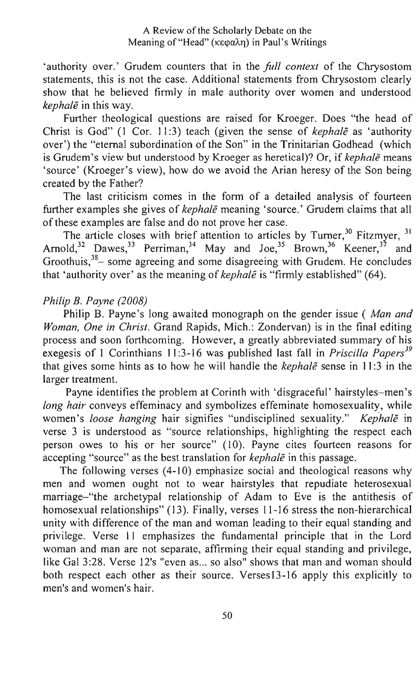#### A Review of the Scholarly Debate on the Meaning of "Head" ( $\kappa \in \alpha \lambda$ n) in Paul's Writings

'authority over.' Grudem counters that in the *full context* of the Chrysostom statements, this is not the case. Additional statements from Chrysostom clearly show that he believed firmly in male authority over women and understood *kephale* in this way.

Further theological questions are raised for Kroeger. Does "the head of Christ is God" (1 Cor. 11:3) teach (given the sense of *kephale* as 'authority over') the "eternal subordination of the Son" in the Trinitarian Godhead (which is Grudem's view but understood by Kroeger as heretical)? Or, if *kephale* means 'source' (Kroeger's view), how do we avoid the Arian heresy of the Son being created by the Father?

The last criticism comes in the form of a detailed analysis of fourteen further examples she gives of *kephale* meaning 'source.' Grudem claims that all of these examples are false and do not prove her case.

The article closes with brief attention to articles by Turner,  $30$  Fitzmyer,  $31$ Arnold,<sup>32</sup> Dawes,<sup>33</sup> Perriman,<sup>34</sup> May and Joe,<sup>35</sup> Brown,<sup>36</sup> Keener,<sup>37</sup> and Groothuis, $38-$  some agreeing and some disagreeing with Grudem. He concludes that 'authority over' as the meaning of *kephale* is "firmly established" (64).

## *Philip B. Payne (2008)*

Philip B. Payne's long awaited monograph on the gender issue ( *Man and Woman, One in Christ.* Grand Rapids, Mich.: Zondervan) is in the final editing process and soon forthcoming. However, a greatly abbreviated summary of his exegesis of 1 Corinthians 11 :3-16 was published last fall in *Priscilla Papers<sup>39</sup>* that gives some hints as to how he will handle the *kephale* sense in 11:3 in the larger treatment.

Payne identifies the problem at Corinth with 'disgraceful' hairstyles-men's *long hair* conveys effeminacy and symbolizes effeminate homosexuality, while women's *loose hanging* hair signifies "undisciplined sexuality." *Kephale* in verse 3 is understood as "source relationships, highlighting the respect each person owes to his or her source" (10). Payne cites fourteen reasons for accepting "source" as the best translation for *kephale* in this passage.

The following verses (4-10) emphasize social and theological reasons why men and women ought not to wear hairstyles that repudiate heterosexual marriage-"the archetypal relationship of Adam to Eve is the antithesis of homosexual relationships" (13). Finally, verses 11-16 stress the non-hierarchical unity with difference of the man and woman leading to their equal standing and privilege. Verse 11 emphasizes the fundamental principle that in the Lord woman and man are not separate, affirming their equal standing and privilege, like Gal 3:28. Verse 12's "even as... so also" shows that man and woman should both respect each other as their source. Verses13-16 apply this explicitly to men's and women's hair.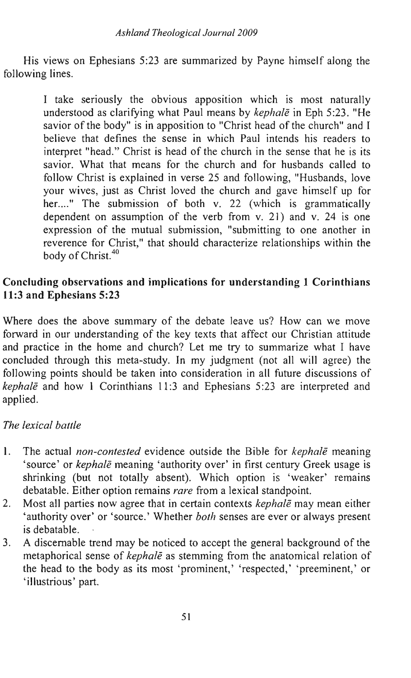His views on Ephesians 5:23 are summarized by Payne himself along the following lines.

> I take seriously the obvious apposition which is most naturally understood as clarifying what Paul means by *kephale* in Eph 5:23. "He savior of the body" is in apposition to "Christ head of the church" and I believe that defines the sense in which Paul intends his readers to interpret "head." Christ is head of the church in the sense that he is its savior. What that means for the church and for husbands called to follow Christ is explained in verse 25 and following, "Husbands, love your wives, just as Christ loved the church and gave himself up for her...." The submission of both v. 22 (which is grammatically dependent on assumption of the verb from v. 21) and v. 24 is one expression of the mutual submission, "submitting to one another in reverence for Christ," that should characterize relationships within the body of Christ.<sup>40</sup>

# Concluding observations and implications for understanding 1 Corinthians 11:3 and Ephesians 5:23

Where does the above summary of the debate leave us? How can we move forward in our understanding of the key texts that affect our Christian attitude and practice in the home and church? Let me try to summarize what I have concluded through this meta-study. In my judgment (not all will agree) the following points should be taken into consideration in all future discussions of *kephale* and how 1 Corinthians 11:3 and Ephesians 5:23 are interpreted and applied.

# *The lexical battle*

- 1. The actual *non-contested* evidence outside the Bible for *kephale* meaning 'source' or *kephale* meaning 'authority over' in first century Greek usage is shrinking (but not totally absent). Which option is 'weaker' remains debatable. Either option remains *rare* from a lexical standpoint.
- 2. Most all parties now agree that in certain contexts *kephale* may mean either 'authority over' or 'source.' Whether *both* senses are ever or always present is debatable.
- 3. A discemable trend may be noticed to accept the general background of the metaphorical sense of *kephale* as stemming from the anatomical relation of the head to the body as its most 'prominent, ' 'respected,' 'preeminent,' or 'illustrious' part.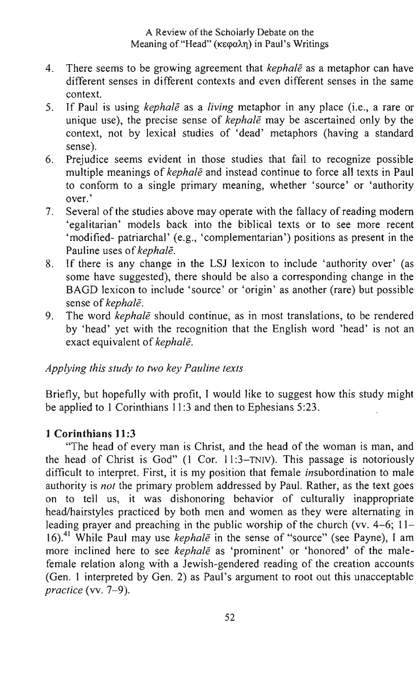- 4. There seems to be growing agreement that *kephale* as a metaphor can have <sup>I</sup> different senses in different contexts and even different senses in the same context.
- 5. If Paul is using *kephale* as a *living* metaphor in any place (i.e., a rare or <sup>I</sup> unique use), the precise sense of *kephale* may be ascertained only by the context, not by lexical studies of 'dead' metaphors (having a standard sense).
- 6. Prejudice seems evident in those studies that fail to recognize possible multiple meanings of *kephale* and instead continue to force all texts in Paul to conform to a single primary meaning, whether 'source' or 'authority over.'
- 7. Several of the sfudies above may operate with the fallacy of reading modern 'egalitarian' models back into the biblical texts or to see more recent 'modified- patriarchal' (e.g., 'complementarian') positions as present in the Pauline uses of *kephale.*
- 8. If there is any change in the LSl lexicon to include 'authority over' (as some have suggested), there should be also a corresponding change in the BAGD lexicon to include 'source' or 'origin' as another (rare) but possible sense of *kephale.*
- 9. The word *kephale* should continue, as in most translations, to be rendered by 'head' yet with the recognition that the English word 'head' is not an exact equivalent of *kephale.*

# *Applying this study to two key Pauline texts*

Briefly, but hopefully with profit, I would like to suggest how this study might be applied to 1 Corinthians 11:3 and then to Ephesians 5:23.

# **1 Corinthians 11:3**

"The head of every man is Christ, and the head of the woman is man, and the head of Christ is God" (1 Cor. 11:3-TNIV). This passage is notoriously difficult to interpret. First, it is my position that female insubordination to male authority is *not* the primary problem addressed by Paul. Rather, as the text goes on to tell us, it was dishonoring behavior of culturally inappropriate head/hairstyles practiced by both men and women as they were alternating in leading prayer and preaching in the public worship of the church (vv. 4-6; 11- 16).41 While Paul may use *kephale* in the sense of "source" (see Payne), I am more inclined here to see *kephale* as 'prominent' or 'honored' of the malefemale relation along with a lewish-gendered reading of the creation accounts (Gen. 1 interpreted by Gen. 2) as Paul's argument to root out this unacceptable *practice* (vv. 7-9).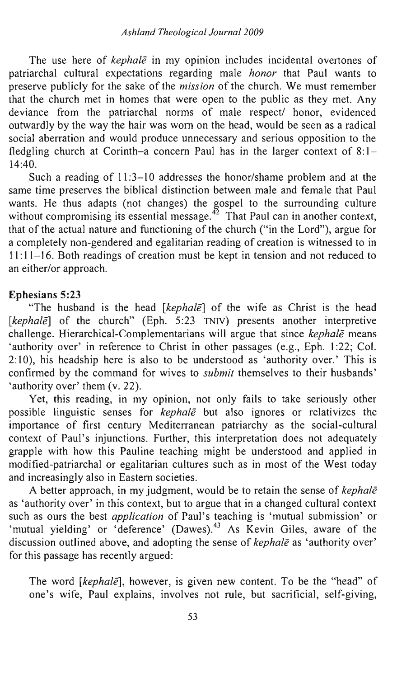The use here of *kephale* in my opinion includes incidental overtones of patriarchal cultural expectations regarding male *honor* that Paul wants to preserve publicly for the sake of the *mission* of the church. We must remember that the church met in homes that were open to the public as they met. Any deviance from the patriarchal norms of male respect/ honor, evidenced outwardly by the way the hair was worn on the head, would be seen as a radical social aberration and would produce unnecessary and serious opposition to the fledgling church at Corinth-a concern Paul has in the larger context of  $8:1-$ 14:40.

Such a reading of  $11:3-10$  addresses the honor/shame problem and at the same time preserves the biblical distinction between male and female that Paul wants. He thus adapts (not changes) the gospel to the surrounding culture without compromising its essential message.<sup> $\bar{4}$ </sup> That Paul can in another context, that of the actual nature and functioning of the church ("in the Lord"), argue for a completely non-gendered and egalitarian reading of creation is witnessed to in 11: 11- 16. Both readings of creation must be kept in tension and not reduced to an either/or approach.

## Ephesians 5:23

"The husband is the head *[kephalē]* of the wife as Christ is the head [kephale] of the church" (Eph. 5:23 TNIV) presents another interpretive challenge. Hierarchical-Complementarians will argue that since *kephale* means 'authority over' in reference to Christ in other passages (e.g., Eph. 1:22; Col. 2:10), his headship here is also to be understood as 'authority over.' This is confirmed by the command for wives to *submit* themselves to their husbands' 'authority over' them (v. 22).

Yet, this reading, in my opinion, not only fails to take seriously other possible linguistic senses for *kephale* but also ignores or relativizes the importance of first century Mediterranean patriarchy as the social-cultural context of Paul's injunctions. Further, this interpretation does not adequately grapple with how this Pauline teaching might be understood and applied in modified-patriarchal or egalitarian cultures such as in most of the West today and increasingly also in Eastern societies.

A better approach, in my judgment, would be to retain the sense of *kephale*  as 'authority over' in this context, but to argue that in a changed cultural context such as ours the best *application* of Paul's teaching is 'mutual submission' or 'mutual yielding' or 'deference' (Dawes).<sup>43</sup> As Kevin Giles, aware of the discussion outlined above, and adopting the sense of *kephale* as 'authority over' for this passage has recently argued:

The word *[kephale]*, however, is given new content. To be the "head" of one's wife, Paul explains, involves not rule, but sacrificial, self-giving,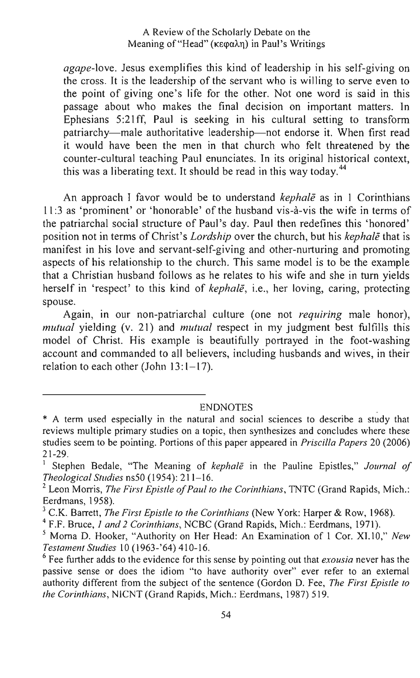#### A Review of the Scholarly Debate on the Meaning of "Head" ( $\kappa \in \alpha \lambda$ ) in Paul's Writings

*agape-love.* Jesus exemplifies this kind of leadership in his self-giving on the cross. It is the leadership of the servant who is willing to serve even to the point of giving one's life for the other. Not one word is said in this passage about who makes the final decision on important matters. In Ephesians 5 :21 ff, Paul is seeking in his cultural setting to transform patriarchy-male authoritative leadership-not endorse it. When first read it would have been the men in that church who felt threatened by the counter-cultural teaching Paul enunciates. In its original historical context, this was a liberating text. It should be read in this way today.<sup>44</sup>

An approach I favor would be to understand *kephale* as in 1 Corinthians 11:3 as 'prominent' or 'honorable' of the husband vis-à-vis the wife in terms of the patriarchal social structure of Paul's day. Paul then redefines this 'honored' position not in terms of Christ's *Lordship* over the church, but his *kephale* that is manifest in his love and servant-self-giving and other-nurturing and promoting aspects of his relationship to the church. This same model is to be the example that a Christian husband follows as he relates to his wife and she in turn yields herself in 'respect' to this kind of *kephale,* i.e., her loving, caring, protecting spouse.

Again, in our non-patriarchal culture (one not *requiring* male honor), *mutual* yielding (v. 21) and *mutual* respect in my judgment best fulfills this model of Christ. His example is beautifully portrayed in the foot-washing account and commanded to all believers, including husbands and wives, in their relation to each other (John  $13:1-17$ ).

ENDNOTES

<sup>4</sup>F.F. Bruce, 1 *and* 2 *Corinthians,* NCBC (Grand Rapids, Mich.: Eerdmans, 1971).

<sup>\*</sup> A term used especially in the natural and social sciences to describe a study that reviews multiple primary studies on a topic, then synthesizes and concludes where these studies seem to be pointing. Portions of this paper appeared in *Priscilla Papers* 20 (2006) 21-29.

<sup>1</sup>Stephen Bedale, "The Meaning of *kephale* in the Pauline Epistles," *Journal of Theological Studies* ns50 (1954): 211-16.

<sup>&</sup>lt;sup>2</sup> Leon Morris, *The First Epistle of Paul to the Corinthians*, TNTC (Grand Rapids, Mich.: Eerdmans, 1958).

<sup>3</sup> C.K. Barrett, *The First Epistle to the Corinthians* (New York: Harper & Row, 1968).

<sup>5</sup> Morna D. Hooker, "Authority on Her Head: An Examination of I Cor. XI.lO," *New Testament Studies* 10 (1963-'64) 410-16.

<sup>6</sup> Fee further adds to the evidence for this sense by pointing out that *exousia* never has the passive sense or does the idiom "to have authority over" ever refer to an external authority different from the subject of the sentence (Gordon D. Fee, *The First Epistle to the Corinthians,* NICNT (Grand Rapids, Mich.: Eerdmans, 1987) 519.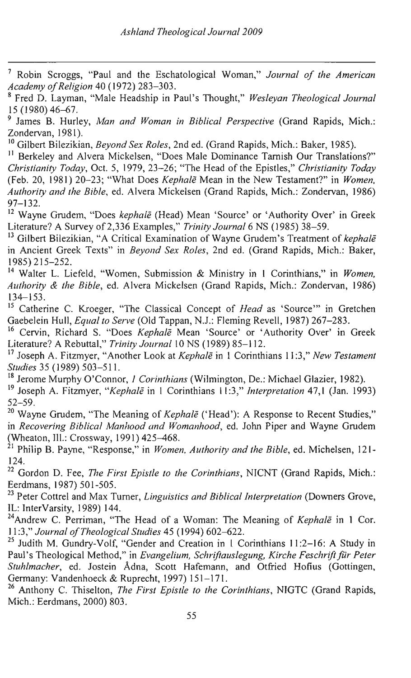7 Robin Scroggs, "Paul and the Eschatological Woman," *Journal 0/ the American Academy o/Religion* 40 (1972) 283-303.

8 Fred D. Layman, "Male Headship in Paul's Thought," *Wesleyan Theological Journal*  '15 (1980) 46-67.

<sup>9</sup> James B. Hurley, *Man and Woman in Biblical Perspective* (Grand Rapids, Mich.: Zondervan, 1981).

<sup>10</sup>Gilbert Bilezikian, *Beyond Sex Roles,* 2nd ed. (Grand Rapids, Mich.: Baker, 1985).

<sup>11</sup> Berkeley and Alvera Mickelsen, "Does Male Dominance Tarnish Our Translations?" *Christianity Today,* Oct. 5, 1979, 23-26; "The Head of the Epistles," *Christianity Today*  (Feb. 20, 1981) 20-23; "What Does *Kephale* Mean in the New Testament?" in *Women, Authority and the Bible,* ed. Alvera Mickelsen (Grand Rapids, Mich.: Zondervan, 1986)  $97 - 132$ .

12 Wayne Grudem, "Does *kephale* (Head) Mean 'Source' or 'Authority Over' in Greek Literature? A Survey of 2,336 Examples," *Trinity Journal* 6 NS (1985) 38-59.

13 Gilbert Bilezikian, "A Critical Examination of Wayne Grudem's Treatment of *kephale*  in Ancient Greek Texts" in *Beyond Sex Roles,* 2nd ed. (Grand Rapids, Mich.: Baker, 1985) 215-252.

14 Walter L. Liefeld, "Women, Submission & Ministry in 1 Corinthians," in *Women, Authority* & *the Bible,* ed. Alvera Mickelsen (Grand Rapids, Mich.: Zondervan, 1986) 134-153.

15 Catherine C. Kroeger, "The Classical Concept of *Head* as 'Source'" in Gretchen Gaebelein Hull, *Equal to Serve* (Old Tappan, N.J.: Fleming Revell, 1987) 267-283.

16 Cervin, Richard S. "Does *Kephale* Mean 'Source' or 'Authority Over' in Greek Literature? A Rebuttal," *Trinity Journal* IONS (1989) 85-112.

17 Joseph A. Fitzmyer, "Another Look at *Kephale* in 1 Corinthians 11 :3," *New Testament Studies* 35 (1989) 503-51l.

18 Jerome Murphy O'Connor, 1 *Corinthians* (Wilmington, De.: Michael Glazier, 1982). 19 Joseph A. Fitzmyer, *"Kephale* in 1 Corinthians 11:3," *Interpretation* 47,1 (Jan. 1993) 52-59.

20 Wayne Grudem, "The Meaning of *Kephale* ('Head'): A Response to Recent Studies," in *Recovering Biblical Manhood and Womanhood,* ed. John Piper and Wayne Grudem (Wheaton, Ill.: Crossway, 1991) 425–468.

21 Philip B. Payne, "Response," in *Women, Authority and the Bible,* ed. Michelsen, 121- 124.

22 Gordon D. Fee, *The First Epistle to the Corinthians,* NICNT (Grand Rapids, Mich.: Eerdmans, 1987) 501-505.

23 Peter Cottrel and Max Turner, *Linguistics and Biblical Interpretation* (Downers Grove, IL: InterVarsity, 1989) 144.

<sup>24</sup>Andrew C. Perriman, "The Head of a Woman: The Meaning of *Kephalē* in 1 Cor. 11 :3," *Journal o/Theological Studies* 45 (1994) 602-622.

<sup>25</sup> Judith M. Gundry-Volf, "Gender and Creation in 1 Corinthians 11:2-16: A Study in Paul's Theological Method," in *Evangelium, Schriftauslegung, Kirche Feschrift für Peter Stuhlmacher*, ed. Jostein Ådna, Scott Hafemann, and Otfried Hofius (Gottingen, Germany: Vandenhoeck & Ruprecht, 1997) 151-171.

26 Anthony C. Thiselton, *The First Epistle to the Corinthians,* NIGTC (Grand Rapids, Mich.: Eerdmans, 2000) 803.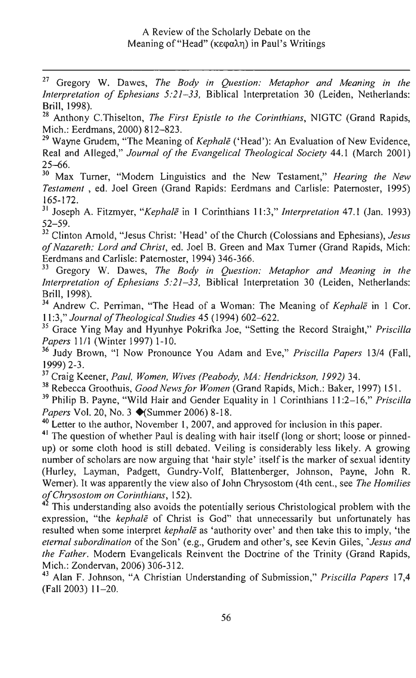27 Gregory W. Dawes, *The Body in Question: Metaphor and Meaning in the Interpretation of Ephesians 5:21-33*, Biblical Interpretation 30 (Leiden, Netherlands: Brill, 1998).

28 Anthony C.Thiselton, *The First Epistle to the Corinthians,* NIGTC (Grand Rapids, Mich.: Eerdmans, 2000) 812-823.

29 Wayne Grudem, "The Meaning of *Kephale* ('Head'): An Evaluation of New Evidence, Real and Alleged," *Journal of the Evangelical Theological Society* 44.1 (March 2001)  $25 - 66.$ 

30 Max Turner, "Modern Linguistics and the New Testament," *Hearing the New Testament,* ed. Joel Green (Grand Rapids: Eerdmans and Carlisle: Paternoster, 1995) 165-172.

31 Joseph A. Fitzmyer, *"Kephale* in 1 Corinthians 1 I :3," *Interpretation* 47.1 (Jan. 1993) 52-59.

32 Clinton Arnold, "Jesus Christ: 'Head' of the Church (Colossians and Ephesians), *Jesus of Nazareth: Lord and Christ,* ed. Joel B. Green and Max Turner (Grand Rapids, Mich: Eerdmans and Carlisle: Paternoster, 1994) 346-366.

33 Gregory W. Dawes, *The Body in Question: Metaphor and Meaning in the Interpretation of Ephesians* 5:21-33, Biblical Interpretation 30 (Leiden, Netherlands: Brill, 1998).

<sup>34</sup> Andrew C. Perriman, "The Head of a Woman: The Meaning of *Kephale* in 1 Cor. 11:3," *Journal of Theological Studies* 45 (1994) 602-622.

35 Grace Ying May and Hyunhye Pokrifka Joe, "Setting the Record Straight," *Priscilla Papers* 1111 (Winter 1997) 1-10.

36 Judy Brown, "I Now Pronounce You Adam and Eve," *Priscilla Papers* 13/4 (Fall, 1999) 2-3.

<sup>37</sup>Craig Keener, *Paul, Women, Wives (Peabody, MA: Hendrickson,* 1992) 34.

38 Rebecca Groothuis, *Good News for Women* (Grand Rapids, Mich.: Baker, 1997) 151.

39 Philip B. Payne, "Wild Hair and Gender Equality in 1 Corinthians 11 :2-16," *Priscilla Papers Vol. 20, No. 3* ♦(Summer 2006) 8-18.

<sup>40</sup> Letter to the author, November 1, 2007, and approved for inclusion in this paper.

<sup>41</sup> The question of whether Paul is dealing with hair itself (long or short; loose or pinnedup) or some cloth hood is still debated. Veiling is considerably less likely. A growing number of scholars are now arguing that 'hair style' itself is the marker of sexual identity (Hurley, Layman, Padgett, Gundry-Volf, Blattenberger, Johnson, Payne, John R. Werner). It was apparently the view also of John Chrysostom (4th cent., see *The Homilies ofChrysostom on Corinthians,* 152).

This understanding also avoids the potentially serious Christological problem with the expression, "the *kephale* of Christ is God" that unnecessarily but unfortunately has resulted when some interpret *kephale* as 'authority over' and then take this to imply, 'the eternal subordination of the Son' (e.g., Grudem and other's, see Kevin Giles, *Iesus and the Father.* Modern Evangelicals Reinvent the Doctrine of the Trinity (Grand Rapids, Mich.: Zondervan, 2006) 306-312.

43 Alan F. Johnson, "A Christian Understanding of Submission," *Priscilla Papers* 17,4 (Fall 2003) 11-20.